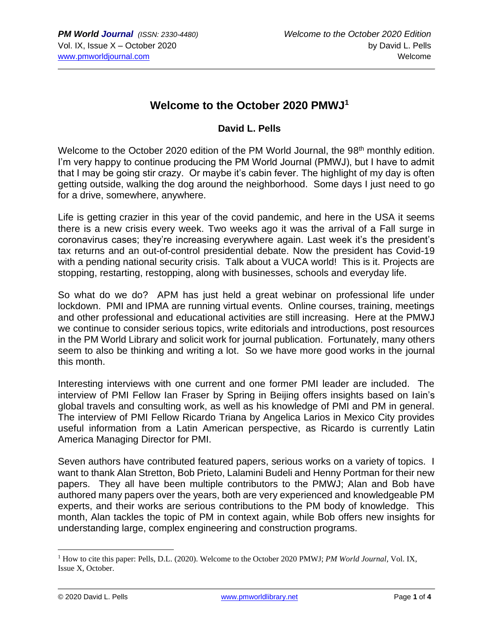## **Welcome to the October 2020 PMWJ<sup>1</sup>**

## **David L. Pells**

Welcome to the October 2020 edition of the PM World Journal, the 98<sup>th</sup> monthly edition. I'm very happy to continue producing the PM World Journal (PMWJ), but I have to admit that I may be going stir crazy. Or maybe it's cabin fever. The highlight of my day is often getting outside, walking the dog around the neighborhood. Some days I just need to go for a drive, somewhere, anywhere.

Life is getting crazier in this year of the covid pandemic, and here in the USA it seems there is a new crisis every week. Two weeks ago it was the arrival of a Fall surge in coronavirus cases; they're increasing everywhere again. Last week it's the president's tax returns and an out-of-control presidential debate. Now the president has Covid-19 with a pending national security crisis. Talk about a VUCA world! This is it. Projects are stopping, restarting, restopping, along with businesses, schools and everyday life.

So what do we do? APM has just held a great webinar on professional life under lockdown. PMI and IPMA are running virtual events. Online courses, training, meetings and other professional and educational activities are still increasing. Here at the PMWJ we continue to consider serious topics, write editorials and introductions, post resources in the PM World Library and solicit work for journal publication. Fortunately, many others seem to also be thinking and writing a lot. So we have more good works in the journal this month.

Interesting interviews with one current and one former PMI leader are included. The interview of PMI Fellow Ian Fraser by Spring in Beijing offers insights based on Iain's global travels and consulting work, as well as his knowledge of PMI and PM in general. The interview of PMI Fellow Ricardo Triana by Angelica Larios in Mexico City provides useful information from a Latin American perspective, as Ricardo is currently Latin America Managing Director for PMI.

Seven authors have contributed featured papers, serious works on a variety of topics. I want to thank Alan Stretton, Bob Prieto, Lalamini Budeli and Henny Portman for their new papers. They all have been multiple contributors to the PMWJ; Alan and Bob have authored many papers over the years, both are very experienced and knowledgeable PM experts, and their works are serious contributions to the PM body of knowledge. This month, Alan tackles the topic of PM in context again, while Bob offers new insights for understanding large, complex engineering and construction programs.

<sup>1</sup> How to cite this paper: Pells, D.L. (2020). Welcome to the October 2020 PMWJ; *PM World Journal*, Vol. IX, Issue X, October.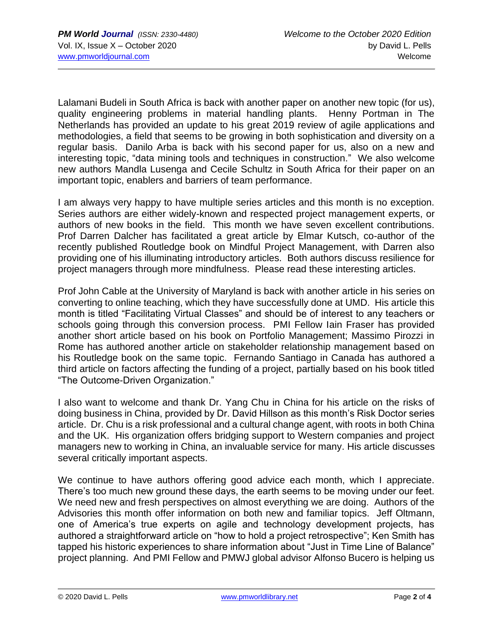Lalamani Budeli in South Africa is back with another paper on another new topic (for us), quality engineering problems in material handling plants. Henny Portman in The Netherlands has provided an update to his great 2019 review of agile applications and methodologies, a field that seems to be growing in both sophistication and diversity on a regular basis. Danilo Arba is back with his second paper for us, also on a new and interesting topic, "data mining tools and techniques in construction." We also welcome new authors Mandla Lusenga and Cecile Schultz in South Africa for their paper on an important topic, enablers and barriers of team performance.

I am always very happy to have multiple series articles and this month is no exception. Series authors are either widely-known and respected project management experts, or authors of new books in the field. This month we have seven excellent contributions. Prof Darren Dalcher has facilitated a great article by Elmar Kutsch, co-author of the recently published Routledge book on Mindful Project Management, with Darren also providing one of his illuminating introductory articles. Both authors discuss resilience for project managers through more mindfulness. Please read these interesting articles.

Prof John Cable at the University of Maryland is back with another article in his series on converting to online teaching, which they have successfully done at UMD. His article this month is titled "Facilitating Virtual Classes" and should be of interest to any teachers or schools going through this conversion process. PMI Fellow Iain Fraser has provided another short article based on his book on Portfolio Management; Massimo Pirozzi in Rome has authored another article on stakeholder relationship management based on his Routledge book on the same topic. Fernando Santiago in Canada has authored a third article on factors affecting the funding of a project, partially based on his book titled "The Outcome-Driven Organization."

I also want to welcome and thank Dr. Yang Chu in China for his article on the risks of doing business in China, provided by Dr. David Hillson as this month's Risk Doctor series article. Dr. Chu is a risk professional and a cultural change agent, with roots in both China and the UK. His organization offers bridging support to Western companies and project managers new to working in China, an invaluable service for many. His article discusses several critically important aspects.

We continue to have authors offering good advice each month, which I appreciate. There's too much new ground these days, the earth seems to be moving under our feet. We need new and fresh perspectives on almost everything we are doing. Authors of the Advisories this month offer information on both new and familiar topics. Jeff Oltmann, one of America's true experts on agile and technology development projects, has authored a straightforward article on "how to hold a project retrospective"; Ken Smith has tapped his historic experiences to share information about "Just in Time Line of Balance" project planning. And PMI Fellow and PMWJ global advisor Alfonso Bucero is helping us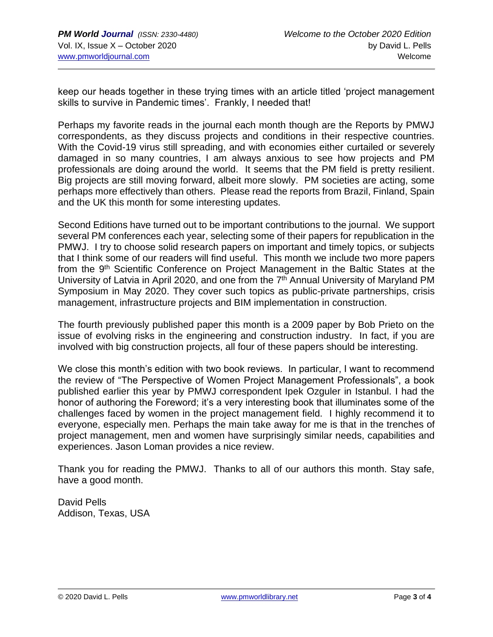keep our heads together in these trying times with an article titled 'project management skills to survive in Pandemic times'. Frankly, I needed that!

Perhaps my favorite reads in the journal each month though are the Reports by PMWJ correspondents, as they discuss projects and conditions in their respective countries. With the Covid-19 virus still spreading, and with economies either curtailed or severely damaged in so many countries, I am always anxious to see how projects and PM professionals are doing around the world. It seems that the PM field is pretty resilient. Big projects are still moving forward, albeit more slowly. PM societies are acting, some perhaps more effectively than others. Please read the reports from Brazil, Finland, Spain and the UK this month for some interesting updates.

Second Editions have turned out to be important contributions to the journal. We support several PM conferences each year, selecting some of their papers for republication in the PMWJ. I try to choose solid research papers on important and timely topics, or subjects that I think some of our readers will find useful. This month we include two more papers from the 9<sup>th</sup> Scientific Conference on Project Management in the Baltic States at the University of Latvia in April 2020, and one from the 7<sup>th</sup> Annual University of Maryland PM Symposium in May 2020. They cover such topics as public-private partnerships, crisis management, infrastructure projects and BIM implementation in construction.

The fourth previously published paper this month is a 2009 paper by Bob Prieto on the issue of evolving risks in the engineering and construction industry. In fact, if you are involved with big construction projects, all four of these papers should be interesting.

We close this month's edition with two book reviews. In particular, I want to recommend the review of "The Perspective of Women Project Management Professionals", a book published earlier this year by PMWJ correspondent Ipek Ozguler in Istanbul. I had the honor of authoring the Foreword; it's a very interesting book that illuminates some of the challenges faced by women in the project management field. I highly recommend it to everyone, especially men. Perhaps the main take away for me is that in the trenches of project management, men and women have surprisingly similar needs, capabilities and experiences. Jason Loman provides a nice review.

Thank you for reading the PMWJ. Thanks to all of our authors this month. Stay safe, have a good month.

David Pells Addison, Texas, USA